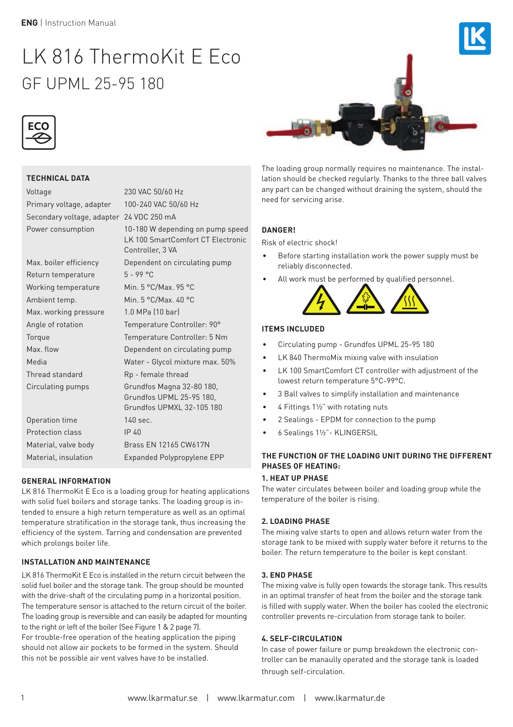# LK 816 ThermoKit E Eco GF UPML 25-95 180





# **TECHNICAL DATA**

Voltage 230 VAC 50/60 Hz Primary voltage, adapter 100-240 VAC 50/60 Hz Secondary voltage, adapter 24 VDC 250 mA

Power consumption 10-180 W depending on pump speed LK 100 SmartComfort CT Electronic Controller, 3 VA Max. boiler efficiency Dependent on circulating pump

Return temperature 5 - 99 °C Working temperature Min. 5 °C/Max. 95 °C Ambient temp. Min. 5 °C/Max. 40 °C Max. working pressure 1.0 MPa (10 bar) Thread standard Rp - female thread

Angle of rotation Temperature Controller: 90° Torque Temperature Controller: 5 Nm Max. flow Dependent on circulating pump Media Water - Glycol mixture max. 50% Circulating pumps Grundfos Magna 32-80 180, Grundfos UPML 25-95 180, Grundfos UPMXL 32-105 180 Operation time 140 sec. Protection class IP 40 Material, valve body Brass EN 12165 CW617N

# **GENERAL INFORMATION**

LK 816 ThermoKit E Eco is a loading group for heating applications with solid fuel boilers and storage tanks. The loading group is intended to ensure a high return temperature as well as an optimal temperature stratification in the storage tank, thus increasing the efficiency of the system. Tarring and condensation are prevented which prolongs boiler life.

Material, insulation Expanded Polypropylene EPP

# **INSTALLATION AND MAINTENANCE**

LK 816 ThermoKit E Eco is installed in the return circuit between the solid fuel boiler and the storage tank. The group should be mounted with the drive-shaft of the circulating pump in a horizontal position. The temperature sensor is attached to the return circuit of the boiler. The loading group is reversible and can easily be adapted for mounting to the right or left of the boiler (See Figure 1 & 2 page 7).

For trouble-free operation of the heating application the piping should not allow air pockets to be formed in the system. Should this not be possible air vent valves have to be installed.



The loading group normally requires no maintenance. The installation should be checked regularly. Thanks to the three ball valves any part can be changed without draining the system, should the need for servicing arise.

# **DANGER!**

Risk of electric shock!

- Before starting installation work the power supply m reliably disconnected.
- All work must be performed by qualified personnel.



# **ITEMS INCLUDED**

- Circulating pump Grundfos UPML 25-95 180
- LK 840 ThermoMix mixing valve with insulation
- LK 100 SmartComfort CT controller with adjustment of the lowest return temperature 5°C-99°C.
- 3 Ball valves to simplify installation and maintenance
- 4 Fittings 1½" with rotating nuts
- 2 Sealings EPDM for connection to the pump
- 6 Sealings 1½"- KLINGERSIL

# **THE FUNCTION OF THE LOADING UNIT DURING THE DIFFERENT PHASES OF HEATING:**

#### **1. HEAT UP PHASE**

The water circulates between boiler and loading group while the temperature of the boiler is rising.

#### **2. LOADING PHASE**

The mixing valve starts to open and allows return water from the storage tank to be mixed with supply water before it returns to the boiler. The return temperature to the boiler is kept constant.

# **3. END PHASE**

The mixing valve is fully open towards the storage tank. This results in an optimal transfer of heat from the boiler and the storage tank is filled with supply water. When the boiler has cooled the electronic controller prevents re-circulation from storage tank to boiler.

#### **4. SELF-CIRCULATION**

In case of power failure or pump breakdown the electronic controller can be manaully operated and the storage tank is loaded through self-circulation.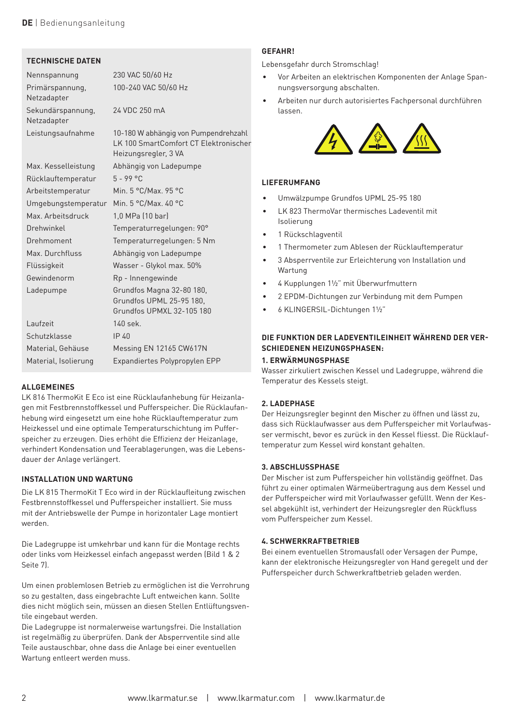



#### **TECHNISCHE DATEN**

| Nennspannung                     | 230 VAC 50/60 Hz                                                                                      |
|----------------------------------|-------------------------------------------------------------------------------------------------------|
| Primärspannung,<br>Netzadapter   | 100-240 VAC 50/60 Hz                                                                                  |
| Sekundärspannung,<br>Netzadapter | 24 VDC 250 mA                                                                                         |
| Leistungsaufnahme                | 10-180 W abhängig von Pumpendrehzahl<br>LK 100 SmartComfort CT Elektronischer<br>Heizungsregler, 3 VA |
| Max. Kesselleistung              | Abhängig von Ladepumpe                                                                                |
| Rücklauftemperatur               | $5 - 99 °C$                                                                                           |
| Arbeitstemperatur                | Min. 5 °C/Max. 95 °C                                                                                  |
| Umgebungstemperatur              | Min. 5 °C/Max. 40 °C                                                                                  |
| Max. Arbeitsdruck                | 1,0 MPa (10 bar)                                                                                      |
| Drehwinkel                       | Temperaturregelungen: 90°                                                                             |
| Drehmoment                       | Temperaturregelungen: 5 Nm                                                                            |
| Max. Durchfluss                  | Abhängig von Ladepumpe                                                                                |
| Flüssigkeit                      | Wasser - Glykol max. 50%                                                                              |
| Gewindenorm                      | Rp - Innengewinde                                                                                     |
| Ladepumpe                        | Grundfos Magna 32-80 180,<br>Grundfos UPML 25-95 180,<br>Grundfos UPMXL 32-105 180                    |
| Laufzeit                         | 140 sek.                                                                                              |
| Schutzklasse                     | IP40                                                                                                  |
| Material, Gehäuse                | Messing EN 12165 CW617N                                                                               |
| Material, Isolierung             | Expandiertes Polypropylen EPP                                                                         |

# **ALLGEMEINES**

 LK 816 ThermoKit E Eco ist eine Rücklaufanhebung für Heizanlagen mit Festbrennstoffkessel und Pufferspeicher. Die Rücklaufanhebung wird eingesetzt um eine hohe Rücklauftemperatur zum Heizkessel und eine optimale Temperaturschichtung im Pufferspeicher zu erzeugen. Dies erhöht die Effizienz der Heizanlage, verhindert Kondensation und Teerablagerungen, was die Lebensdauer der Anlage verlängert.

#### **INSTALLATION UND WARTUNG**

Die LK 815 ThermoKit T Eco wird in der Rücklaufleitung zwischen Festbrennstoffkessel und Pufferspeicher installiert. Sie muss mit der Antriebswelle der Pumpe in horizontaler Lage montiert werden.

Die Ladegruppe ist umkehrbar und kann für die Montage rechts oder links vom Heizkessel einfach angepasst werden (Bild 1 & 2 Seite 7).

Um einen problemlosen Betrieb zu ermöglichen ist die Verrohrung so zu gestalten, dass eingebrachte Luft entweichen kann. Sollte dies nicht möglich sein, müssen an diesen Stellen Entlüftungsventile eingebaut werden.

Die Ladegruppe ist normalerweise wartungsfrei. Die Installation ist regelmäßig zu überprüfen. Dank der Absperrventile sind alle Teile austauschbar, ohne dass die Anlage bei einer eventuellen Wartung entleert werden muss.

#### **GEFAHR!**

Lebensgefahr durch Stromschlag!

- Vor Arbeiten an elektrischen Komponenten der Anlage S nungsversorgung abschalten.
- Arbeiten nur durch autorisiertes Fachpersonal durchführ lassen.



# **LEFERUMFANG**

- Umwälzpumpe Grundfos UPML 25-95 180
- LK 823 ThermoVar thermisches Ladeventil mit Isolierung
- 1 Rückschlagventil
- 1 Thermometer zum Ablesen der Rücklauftemperatur
- 3 Absperrventile zur Erleichterung von Installation und Wartung
- 4 Kupplungen 1½" mit Überwurfmuttern
- 2 EPDM-Dichtungen zur Verbindung mit dem Pumpen
- 6 KLINGERSIL-Dichtungen 1½"

# **DIE FUNKTION DER LADEVENTILEINHEIT WÄHREND DER VER-SCHIEDENEN HEIZUNGSPHASEN:**

#### **1. ERWÄRMUNGSPHASE**

Wasser zirkuliert zwischen Kessel und Ladegruppe, während die Temperatur des Kessels steigt.

#### **2. LADEPHASE**

Der Heizungsregler beginnt den Mischer zu öffnen und lässt zu, dass sich Rücklaufwasser aus dem Pufferspeicher mit Vorlaufwasser vermischt, bevor es zurück in den Kessel fliesst. Die Rücklauftemperatur zum Kessel wird konstant gehalten.

#### **3. ABSCHLUSSPHASE**

Der Mischer ist zum Pufferspeicher hin vollständig geöffnet. Das führt zu einer optimalen Wärmeübertragung aus dem Kessel und der Pufferspeicher wird mit Vorlaufwasser gefüllt. Wenn der Kessel abgekühlt ist, verhindert der Heizungsregler den Rückfluss vom Pufferspeicher zum Kessel.

#### **4. SCHWERKRAFTBETRIEB**

Bei einem eventuellen Stromausfall oder Versagen der Pumpe, kann der elektronische Heizungsregler von Hand geregelt und der Pufferspeicher durch Schwerkraftbetrieb geladen werden.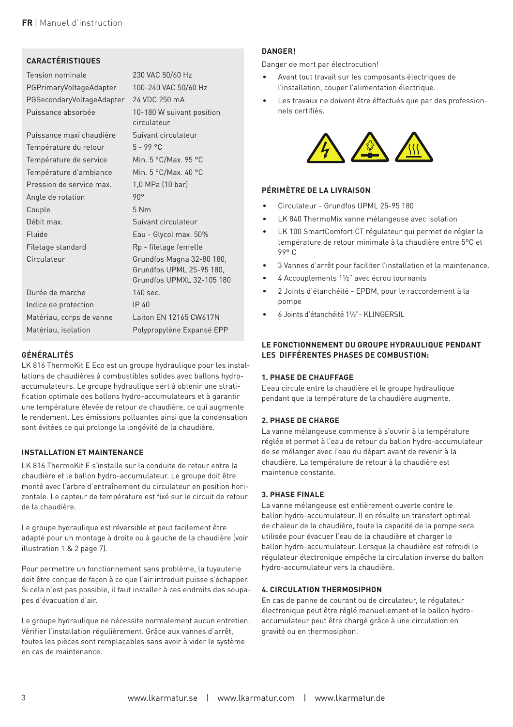

### **CARACTÉRISTIQUES**

Tension nominale 230 VAC 50/60 Hz PGPrimaryVoltageAdapter 100-240 VAC 50/60 Hz PGSecondaryVoltageAdapter 24 VDC 250 mA Puissance absorbée 10-180 W suivant position

Puissance maxi chaudière Suivant circulateur Température du retour 5 - 99 °C Température de service Min. 5 °C/Max. 95 °C Température d'ambiance Min. 5 °C/Max. 40 °C Pression de service max. 1,0 MPa (10 bar) Angle de rotation 90° Couple 5 Nm Débit max. Suivant circulateur Fluide **Eau - Glycol max.** 50% Filetage standard Rp - filetage femelle Circulateur Grundfos Magna 32-80 180,

circulateur Grundfos UPML 25-95 180, Grundfos UPMXL 32-105 180

Durée de marche 140 sec. Indice de protection IP 40 Matériau, corps de vanne Laiton EN 12165 CW617N Matériau, isolation Polypropylène Expansé EPP

# **GÉNÉRALITÉS**

LK 816 ThermoKit E Eco est un groupe hydraulique pour les installations de chaudières à combustibles solides avec ballons hydroaccumulateurs. Le groupe hydraulique sert à obtenir une stratification optimale des ballons hydro-accumulateurs et à garantir une température élevée de retour de chaudière, ce qui augmente le rendement. Les émissions polluantes ainsi que la condensation sont évitées ce qui prolonge la longévité de la chaudière.

# **INSTALLATION ET MAINTENANCE**

LK 816 ThermoKit E s'installe sur la conduite de retour entre la chaudière et le ballon hydro-accumulateur. Le groupe doit être monté avec l'arbre d'entraînement du circulateur en position horizontale. Le capteur de température est fixé sur le circuit de retour de la chaudière.

Le groupe hydraulique est réversible et peut facilement être adapté pour un montage à droite ou à gauche de la chaudière (voir illustration 1 & 2 page 7).

Pour permettre un fonctionnement sans problème, la tuyauterie doit être conçue de façon à ce que l'air introduit puisse s'échapper. Si cela n'est pas possible, il faut installer à ces endroits des soupapes d'évacuation d'air.

Le groupe hydraulique ne nécessite normalement aucun entretien. Vérifier l'installation régulièrement. Grâce aux vannes d'arrêt, toutes les pièces sont remplaçables sans avoir à vider le système en cas de maintenance.

### **DANGER!**

Danger de mort par électrocution!

- Avant tout travail sur les composants électriques de l'installation, couper l'alimentation électrique.
- Les travaux ne doivent être éffectués que par des prof nels certifiés.



#### **PÉRIMÈTRE DE LA LIVRAISON**

- Circulateur Grundfos UPML 25-95 180
- LK 840 ThermoMix vanne mélangeuse avec isolation
- LK 100 SmartComfort CT régulateur qui permet de régler la température de retour minimale à la chaudière entre 5°C et 99° C
- 3 Vannes d'arrêt pour faciliter l'installation et la maintenance.
- 4 Accouplements 1½" avec écrou tournants
- 2 Joints d'étanchéité EPDM, pour le raccordement à la pompe
- 6 Joints d'étanchéité 1½"- KLINGERSIL

### **LE FONCTIONNEMENT DU GROUPE HYDRAULIQUE PENDANT LES DIFFÉRENTES PHASES DE COMBUSTION:**

#### **1. PHASE DE CHAUFFAGE**

L'eau circule entre la chaudière et le groupe hydraulique pendant que la température de la chaudière augmente.

#### **2. PHASE DE CHARGE**

La vanne mélangeuse commence à s'ouvrir à la température réglée et permet à l'eau de retour du ballon hydro-accumulateur de se mélanger avec l'eau du départ avant de revenir à la chaudière. La température de retour à la chaudière est maintenue constante.

#### **3. PHASE FINALE**

La vanne mélangeuse est entièrement ouverte contre le ballon hydro-accumulateur. Il en résulte un transfert optimal de chaleur de la chaudière, toute la capacité de la pompe sera utilisée pour évacuer l'eau de la chaudière et charger le ballon hydro-accumulateur. Lorsque la chaudière est refroidi le régulateur électronique empêche la circulation inverse du ballon hydro-accumulateur vers la chaudière.

#### **4. CIRCULATION THERMOSIPHON**

En cas de panne de courant ou de circulateur, le régulateur électronique peut être réglé manuellement et le ballon hydroaccumulateur peut être chargé grâce à une circulation en gravité ou en thermosiphon.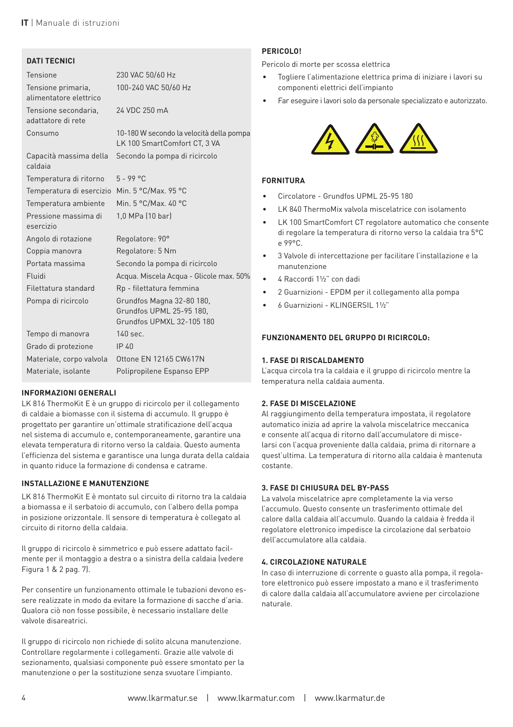

# **DATI TECNICI**

| Tensione                                     | 230 VAC 50/60 Hz                                                                   |
|----------------------------------------------|------------------------------------------------------------------------------------|
| Tensione primaria,<br>alimentatore elettrico | 100-240 VAC 50/60 Hz                                                               |
| Tensione secondaria,<br>adattatore di rete   | 24 VDC 250 mA                                                                      |
| Consumo                                      | 10-180 W secondo la velocità della pompa<br>LK 100 SmartComfort CT, 3 VA           |
| Capacità massima della<br>caldaia            | Secondo la pompa di ricircolo                                                      |
| Temperatura di ritorno                       | $5 - 99$ °C                                                                        |
| Temperatura di esercizio                     | Min. 5 °C/Max. 95 °C                                                               |
| Temperatura ambiente                         | Min. 5 °C/Max. 40 °C                                                               |
| Pressione massima di<br>esercizio            | 1,0 MPa (10 bar)                                                                   |
| Angolo di rotazione                          | Regolatore: 90°                                                                    |
| Coppia manovra                               | Regolatore: 5 Nm                                                                   |
| Portata massima                              | Secondo la pompa di ricircolo                                                      |
| Fluidi                                       | Acqua. Miscela Acqua - Glicole max. 50%                                            |
| Filettatura standard                         | Rp - filettatura femmina                                                           |
| Pompa di ricircolo                           | Grundfos Magna 32-80 180,<br>Grundfos UPML 25-95 180,<br>Grundfos UPMXL 32-105 180 |
| Tempo di manovra                             | 140 sec.                                                                           |
| Grado di protezione                          | IP 40                                                                              |
| Materiale, corpo valvola                     | Ottone EN 12165 CW617N                                                             |
| Materiale, isolante                          | Polipropilene Espanso EPP                                                          |

#### **INFORMAZIONI GENERALI**

LK 816 ThermoKit E è un gruppo di ricircolo per il collegamento di caldaie a biomasse con il sistema di accumulo. Il gruppo è progettato per garantire un'ottimale stratificazione dell'acqua nel sistema di accumulo e, contemporaneamente, garantire una elevata temperatura di ritorno verso la caldaia. Questo aumenta l'efficienza del sistema e garantisce una lunga durata della caldaia in quanto riduce la formazione di condensa e catrame.

#### **INSTALLAZIONE E MANUTENZIONE**

LK 816 ThermoKit E è montato sul circuito di ritorno tra la caldaia a biomassa e il serbatoio di accumulo, con l'albero della pompa in posizione orizzontale. Il sensore di temperatura è collegato al circuito di ritorno della caldaia.

Il gruppo di ricircolo è simmetrico e può essere adattato facilmente per il montaggio a destra o a sinistra della caldaia (vedere Figura 1 & 2 pag. 7).

Per consentire un funzionamento ottimale le tubazioni devono essere realizzate in modo da evitare la formazione di sacche d'aria. Qualora ciò non fosse possibile, è necessario installare delle valvole disareatrici.

Il gruppo di ricircolo non richiede di solito alcuna manutenzione. Controllare regolarmente i collegamenti. Grazie alle valvole di sezionamento, qualsiasi componente può essere smontato per la manutenzione o per la sostituzione senza svuotare l'impianto.

# **PERICOLO!**

Pericolo di morte per scossa elettrica

- Togliere l'alimentazione elettrica prima di iniziare i lavo componenti elettrici dell'impianto
- Far eseguire i lavori solo da personale specializzato e autori



#### **FORNITURA**

- Circolatore Grundfos UPML 25-95 180
- LK 840 ThermoMix valvola miscelatrice con isolamento
- LK 100 SmartComfort CT regolatore automatico che consente di regolare la temperatura di ritorno verso la caldaia tra 5°C e 99°C.
- 3 Valvole di intercettazione per facilitare l'installazione e la manutenzione
- 4 Raccordi 1½" con dadi
- 2 Guarnizioni EPDM per il collegamento alla pompa
- 6 Guarnizioni KLINGERSIL 1½"

#### **FUNZIONAMENTO DEL GRUPPO DI RICIRCOLO:**

#### **1. FASE DI RISCALDAMENTO**

L'acqua circola tra la caldaia e il gruppo di ricircolo mentre la temperatura nella caldaia aumenta.

#### **2. FASE DI MISCELAZIONE**

Al raggiungimento della temperatura impostata, il regolatore automatico inizia ad aprire la valvola miscelatrice meccanica e consente all'acqua di ritorno dall'accumulatore di miscelarsi con l'acqua proveniente dalla caldaia, prima di ritornare a quest'ultima. La temperatura di ritorno alla caldaia è mantenuta costante.

# **3. FASE DI CHIUSURA DEL BY-PASS**

La valvola miscelatrice apre completamente la via verso l'accumulo. Questo consente un trasferimento ottimale del calore dalla caldaia all'accumulo. Quando la caldaia è fredda il regolatore elettronico impedisce la circolazione dal serbatoio dell'accumulatore alla caldaia.

#### **4. CIRCOLAZIONE NATURALE**

In caso di interruzione di corrente o guasto alla pompa, il regolatore elettronico può essere impostato a mano e il trasferimento di calore dalla caldaia all'accumulatore avviene per circolazione naturale.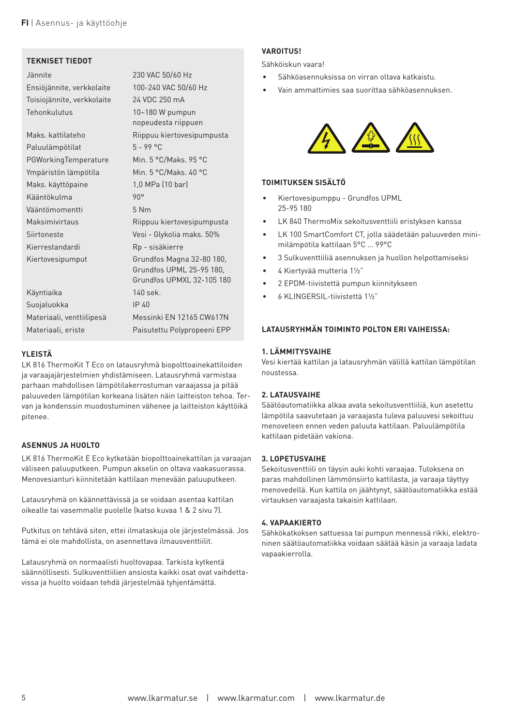$\sim$  300  $\sim$  300  $\sim$  300  $\sim$  300  $\sim$  300  $\sim$  300  $\sim$  300  $\sim$  300  $\sim$  300  $\sim$  300  $\sim$  300  $\sim$  300  $\sim$  300  $\sim$  300  $\sim$  300  $\sim$  300  $\sim$  300  $\sim$  300  $\sim$  300  $\sim$  300  $\sim$  300  $\sim$  300  $\sim$  300  $\sim$  300  $\sim$   $E = E - \frac{1}{2}$ 

nopeudesta riippuen de la provincia riippuen de la provincia riippuen de la provincia riippuen de la provincia<br>De la provincia riippuen de la provincia riippuen de la provincia riippuen de la provincia riippuen de la prov

Vääntömomentti 5 Nm Maksimivirtaus Riippuu kiertovesipumpusta Siirtoneste Vesi - Glykolia maks. 50% Kierrestanda

**FI** | Asennus- ja käyttöohje

 $T_{\rm c}$  VPM<sub>D</sub>  $\sim$ Tehonkulutus 10–180 W pumpun sebagai ke

Paluulämpötilat 5 - 99 °C - 99 °C - 99 °C - 99 °C - 99 °C - 99 °C - 99 °C - 99 °C - 99 °C - 99 °C - 99 °C - 99 °C - 99 °C - 99 °C - 99 °C - 99 °C - 99 °C - 99 °C - 99 °C - 99 °C - 99 °C - 99 °C - 99 °C - 99 °C - 99 °C - 99

Kääntökulma 90°

Maks. kattilateho Riippuu kiertovesipumpusta

 $P_{\text{GPE}}$  and  $P_{\text{GPE}}$  and  $P_{\text{GPE}}$  and  $P_{\text{GPE}}$  and  $P_{\text{GPE}}$  and  $P_{\text{GPE}}$  and  $P_{\text{GPE}}$  and  $P_{\text{GPE}}$  and  $P_{\text{GPE}}$  and  $P_{\text{GPE}}$  and  $P_{\text{GPE}}$  and  $P_{\text{GPE}}$  and  $P_{\text{GPE}}$  and  $P_{\text{GPE}}$  and  $P_{\text{GPE}}$   $\sim$   $\sim$ Maks. käyttöpaine 1,0 MPa (10 bar)

**TEKNISET TEKNISET TEKNISET TEKNISET TEKNISET TEKNISET TEKNISET TEKNISET TEKNISE** 

Kiertovesipu

Grundfos UPML 25-95 180, Grundfos UPMXL 32-105 180 Käyntiaika 140 sek.

Suojaluokka IP 40

Materiaali, venttiilipesä Messinki EN 12165 CW617N Materiaali, eriste Paisutettu Polypropeeni EPP

# **YLEISTÄ**

LK 816 ThermoKit T Eco on latausryhmä biopolttoaine kattiloiden ja varaajajärjestelmien yhdistämiseen. Latausryhmä varmistaa parhaan mahdollisen lämpötilakerro stuman varaajassa ja pitää paluuveden lämpötilan korkeana lisäten näin laitteiston tehoa. Tervan ja kondenssin muodostuminen vähenee ja laitteiston käyttöikä pitenee.

# **ASENNUS JA HUOLTO**

LK 816 ThermoKit E Eco kytketään biopolttoainekattilan ja varaajan väliseen paluuputkeen. Pumpun akselin on oltava vaakasuorassa. Menovesianturi kiinnitetään kattilaan menevään paluuputkeen.

Latausryhmä on käännettävissä ja se voidaan asentaa kattilan oikealle tai vasemmalle puolelle (katso kuvaa 1 & 2 sivu 7).

Putkitus on tehtävä siten, ettei ilmataskuja ole järjestelmässä. Jos tämä ei ole mahdollista, on asennettava ilmausventtiilit.

Latausryhmä on normaalisti huoltovapaa. Tarkista kytkentä säännöllisesti. Sulkuventtiilien ansiosta kaikki osat ovat vaihdettavissa ja huolto voidaan tehdä järjestelmää tyhjentämättä.

# **VIS!**

skun vaara!

hköasennuksissa on virran oltava katkaist in ammattimies saa suorittaa sähköasenn



# **TOIMITUKSEN SISÄLTÖ**

- Kiertovesipumppu Grundfos UPML 25-95 180
- LK 840 ThermoMix sekoitusventtiili eristyksen kanssa
- LK 100 SmartComfort CT, jolla säädetään paluuveden minimilämpötila kattilaan 5°C … 99°C
- 3 Sulkuventtiiliä asennuksen ja huollon helpottamiseksi
- 4 Kiertyvää mutteria 1½"
- 2 EPDM-tiivistettä pumpun kiinnitykseen
- 6 KLINGERSIL-tiivistettä 1½"

#### **LATAUSRYHMÄN TOIMINTO POLTON ERI VAIHEISSA:**

#### **1. LÄMMITYSVAIHE**

Vesi kiertää kattilan ja latausryhmän välillä kattilan lämpötilan noustessa.

#### **2. LATAUSVAIHE**

Säätöautomatiikka alkaa avata sekoitusventtiiliä, kun asetettu lämpötila saavutetaan ja varaajasta tuleva paluuvesi sekoittuu menoveteen ennen veden paluuta kattilaan. Paluulämpötila kattilaan pidetään vakiona.

#### **3. LOPETUSVAIHE**

Sekoitusventtiili on täysin auki kohti varaajaa. Tuloksena on paras mahdollinen lämmönsiirto kattilasta, ja varaaja täyttyy menovedellä. Kun kattila on jäähtynyt, säätöautomatiikka estää virtauksen varaajasta takaisin kattilaan.

#### **4. VAPAAKIERTO**

Sähkökatkoksen sattuessa tai pumpun mennessä rikki, elektroninen säätöautomatiikka voidaan säätää käsin ja varaaja ladata vapaakierrolla.

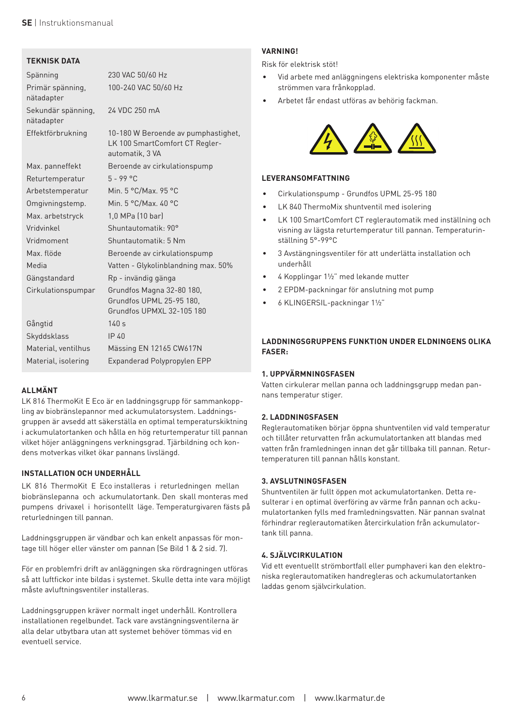

# **TEKNISK DATA**

| Spänning                         | 230 VAC 50/60 Hz                                                                         |
|----------------------------------|------------------------------------------------------------------------------------------|
| Primär spänning,<br>nätadapter   | 100-240 VAC 50/60 Hz                                                                     |
| Sekundär spänning,<br>nätadapter | 24 VDC 250 mA                                                                            |
| Effektförbrukning                | 10-180 W Beroende av pumphastighet,<br>LK 100 SmartComfort CT Regler-<br>automatik, 3 VA |
| Max. panneffekt                  | Beroende av cirkulationspump                                                             |
| Returtemperatur                  | $5 - 99$ °C                                                                              |
| Arbetstemperatur                 | Min. 5 °C/Max. 95 °C                                                                     |
| Omgivningstemp.                  | Min. 5 °C/Max. 40 °C                                                                     |
| Max. arbetstryck                 | 1,0 MPa (10 bar)                                                                         |
| Vridvinkel                       | Shuntautomatik: 90°                                                                      |
| Vridmoment                       | Shuntautomatik: 5 Nm                                                                     |
| Max. flöde                       | Beroende av cirkulationspump                                                             |
| Media                            | Vatten - Glykolinblandning max. 50%                                                      |
| Gängstandard                     | Rp - invändig gänga                                                                      |
| Cirkulationspumpar               | Grundfos Magna 32-80 180,<br>Grundfos UPML 25-95 180.<br>Grundfos UPMXL 32-105 180       |
| Gångtid                          | 140s                                                                                     |
| Skyddsklass                      | IP 40                                                                                    |
| Material, ventilhus              | Mässing EN 12165 CW617N                                                                  |
| Material, isolering              | Expanderad Polypropylen EPP                                                              |

# **ALLMÄNT**

LK 816 ThermoKit E Eco är en laddningsgrupp för sammankoppling av biobränslepannor med ackumulatorsystem. Laddningsgruppen är avsedd att säkerställa en optimal temperaturskiktning i ackumulatortanken och hålla en hög returtemperatur till pannan vilket höjer anläggningens verkningsgrad. Tjärbildning och kondens motverkas vilket ökar pannans livslängd.

#### **INSTALLATION OCH UNDERHÅLL**

LK 816 ThermoKit E Eco installeras i returledningen mellan biobränslepanna och ackumulatortank. Den skall monteras med pumpens drivaxel i horisontellt läge. Temperaturgivaren fästs på returledningen till pannan.

Laddningsgruppen är vändbar och kan enkelt anpassas för montage till höger eller vänster om pannan (Se Bild 1 & 2 sid. 7).

För en problemfri drift av anläggningen ska rördragningen utföras så att luftfickor inte bildas i systemet. Skulle detta inte vara möjligt måste avluftningsventiler installeras.

Laddningsgruppen kräver normalt inget underhåll. Kontrollera installationen regelbundet. Tack vare avstängningsventilerna är alla delar utbytbara utan att systemet behöver tömmas vid en eventuell service.

# **VARNING!**

Risk för elektrisk stöt!

- Vid arbete med anläggningens elektriska komponenter strömmen vara frånkopplad.
- Arbetet får endast utföras av behörig fackman.



#### **LEVERANSOMFATTNING**

- Cirkulationspump Grundfos UPML 25-95 180
- LK 840 ThermoMix shuntventil med isolering
- LK 100 SmartComfort CT reglerautomatik med inställning och visning av lägsta returtemperatur till pannan. Temperaturinställning 5°-99°C
- 3 Avstängningsventiler för att underlätta installation och underhåll
- 4 Kopplingar 1½" med lekande mutter
- 2 EPDM-packningar för anslutning mot pump
- 6 KLINGERSIL-packningar 1½"

#### **LADDNINGSGRUPPENS FUNKTION UNDER ELDNINGENS OLIKA FASER:**

#### **1. UPPVÄRMNINGSFASEN**

Vatten cirkulerar mellan panna och laddningsgrupp medan pannans temperatur stiger.

#### **2. LADDNINGSFASEN**

Reglerautomatiken börjar öppna shuntventilen vid vald temperatur och tillåter returvatten från ackumulatortanken att blandas med vatten från framledningen innan det går tillbaka till pannan. Returtemperaturen till pannan hålls konstant.

#### **3. AVSLUTNINGSFASEN**

Shuntventilen är fullt öppen mot ackumulatortanken. Detta resulterar i en optimal överföring av värme från pannan och ackumulatortanken fylls med framledningsvatten. När pannan svalnat förhindrar reglerautomatiken återcirkulation från ackumulatortank till panna.

#### **4. SJÄLVCIRKULATION**

Vid ett eventuellt strömbortfall eller pumphaveri kan den elektroniska reglerautomatiken handregleras och ackumulatortanken laddas genom självcirkulation.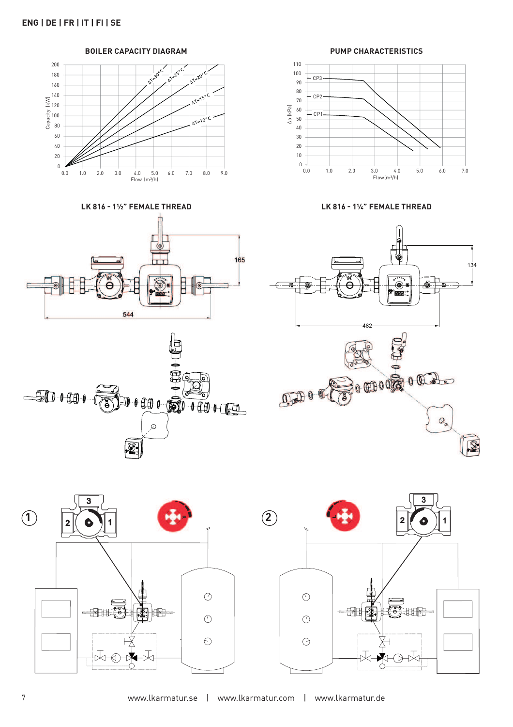200 **12-30°** 25°C **AT-20°C** 180 160  $\frac{1}{2^{12}}$ 140  $X = 120$ <br>Capacity<br>Capacity<br>80 100  $\overline{\Delta T=10^{\circ}}$ C 80 60  $40$  $20$  $\frac{1}{2}$  $40.50$ 0.0 1.0 2.0 3.0 4.0 5.0 6.0 7.0 8.0 9.0  $Flow (m<sup>3</sup>/h)$ 

 **BOILER CAPACITY DIAGRAM** 

**LK 816 - 1½" FEMALE THREAD LK 816 - 1¼" FEMALE THREAD**